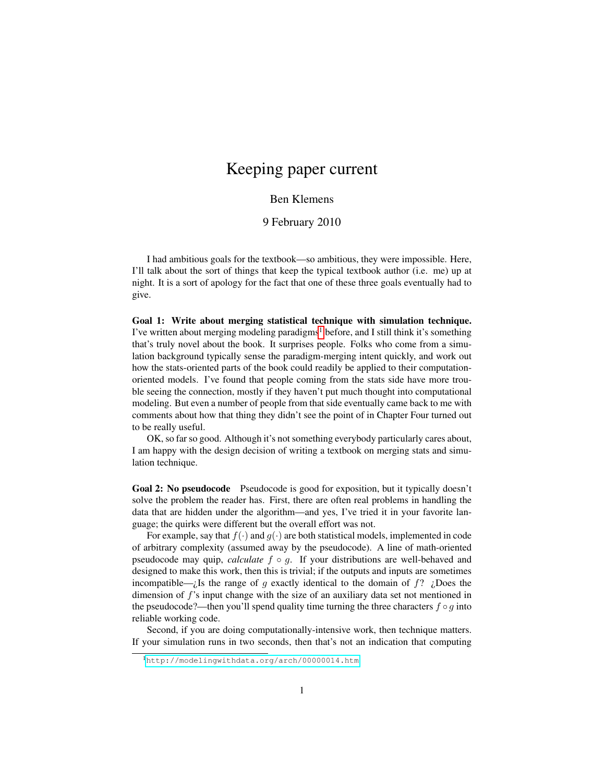## Keeping paper current

## Ben Klemens

## 9 February 2010

I had ambitious goals for the textbook—so ambitious, they were impossible. Here, I'll talk about the sort of things that keep the typical textbook author (i.e. me) up at night. It is a sort of apology for the fact that one of these three goals eventually had to give.

Goal 1: Write about merging statistical technique with simulation technique. I've written about merging modeling paradigms<sup>[1](#page-0-0)</sup> before, and I still think it's something that's truly novel about the book. It surprises people. Folks who come from a simulation background typically sense the paradigm-merging intent quickly, and work out how the stats-oriented parts of the book could readily be applied to their computationoriented models. I've found that people coming from the stats side have more trouble seeing the connection, mostly if they haven't put much thought into computational modeling. But even a number of people from that side eventually came back to me with comments about how that thing they didn't see the point of in Chapter Four turned out to be really useful.

OK, so far so good. Although it's not something everybody particularly cares about, I am happy with the design decision of writing a textbook on merging stats and simulation technique.

Goal 2: No pseudocode Pseudocode is good for exposition, but it typically doesn't solve the problem the reader has. First, there are often real problems in handling the data that are hidden under the algorithm—and yes, I've tried it in your favorite language; the quirks were different but the overall effort was not.

For example, say that  $f(\cdot)$  and  $g(\cdot)$  are both statistical models, implemented in code of arbitrary complexity (assumed away by the pseudocode). A line of math-oriented pseudocode may quip, *calculate* f ◦ g. If your distributions are well-behaved and designed to make this work, then this is trivial; if the outputs and inputs are sometimes incompatible— $i$ Is the range of g exactly identical to the domain of  $f$ ?  $i$ Does the dimension of f's input change with the size of an auxiliary data set not mentioned in the pseudocode?—then you'll spend quality time turning the three characters  $f \circ q$  into reliable working code.

Second, if you are doing computationally-intensive work, then technique matters. If your simulation runs in two seconds, then that's not an indication that computing

<span id="page-0-0"></span><sup>1</sup><http://modelingwithdata.org/arch/00000014.htm>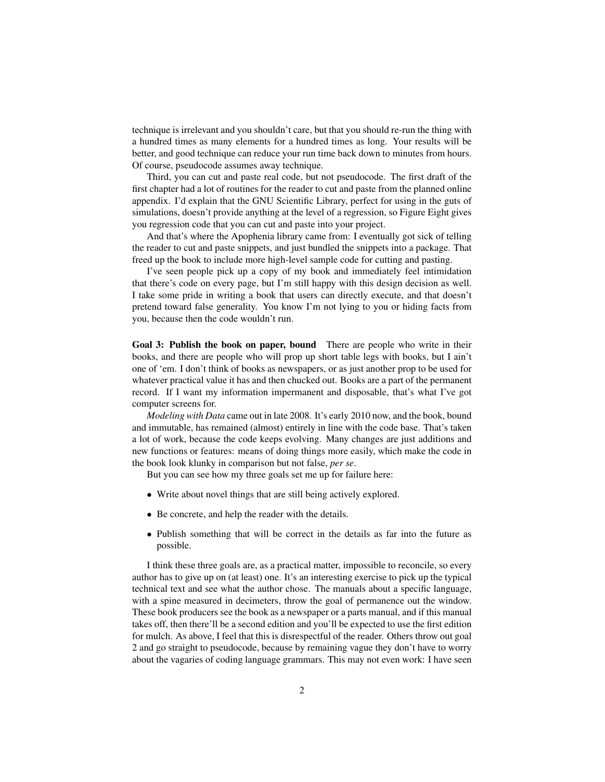technique is irrelevant and you shouldn't care, but that you should re-run the thing with a hundred times as many elements for a hundred times as long. Your results will be better, and good technique can reduce your run time back down to minutes from hours. Of course, pseudocode assumes away technique.

Third, you can cut and paste real code, but not pseudocode. The first draft of the first chapter had a lot of routines for the reader to cut and paste from the planned online appendix. I'd explain that the GNU Scientific Library, perfect for using in the guts of simulations, doesn't provide anything at the level of a regression, so Figure Eight gives you regression code that you can cut and paste into your project.

And that's where the Apophenia library came from: I eventually got sick of telling the reader to cut and paste snippets, and just bundled the snippets into a package. That freed up the book to include more high-level sample code for cutting and pasting.

I've seen people pick up a copy of my book and immediately feel intimidation that there's code on every page, but I'm still happy with this design decision as well. I take some pride in writing a book that users can directly execute, and that doesn't pretend toward false generality. You know I'm not lying to you or hiding facts from you, because then the code wouldn't run.

Goal 3: Publish the book on paper, bound There are people who write in their books, and there are people who will prop up short table legs with books, but I ain't one of 'em. I don't think of books as newspapers, or as just another prop to be used for whatever practical value it has and then chucked out. Books are a part of the permanent record. If I want my information impermanent and disposable, that's what I've got computer screens for.

*Modeling with Data* came out in late 2008. It's early 2010 now, and the book, bound and immutable, has remained (almost) entirely in line with the code base. That's taken a lot of work, because the code keeps evolving. Many changes are just additions and new functions or features: means of doing things more easily, which make the code in the book look klunky in comparison but not false, *per se*.

But you can see how my three goals set me up for failure here:

- Write about novel things that are still being actively explored.
- Be concrete, and help the reader with the details.
- Publish something that will be correct in the details as far into the future as possible.

I think these three goals are, as a practical matter, impossible to reconcile, so every author has to give up on (at least) one. It's an interesting exercise to pick up the typical technical text and see what the author chose. The manuals about a specific language, with a spine measured in decimeters, throw the goal of permanence out the window. These book producers see the book as a newspaper or a parts manual, and if this manual takes off, then there'll be a second edition and you'll be expected to use the first edition for mulch. As above, I feel that this is disrespectful of the reader. Others throw out goal 2 and go straight to pseudocode, because by remaining vague they don't have to worry about the vagaries of coding language grammars. This may not even work: I have seen